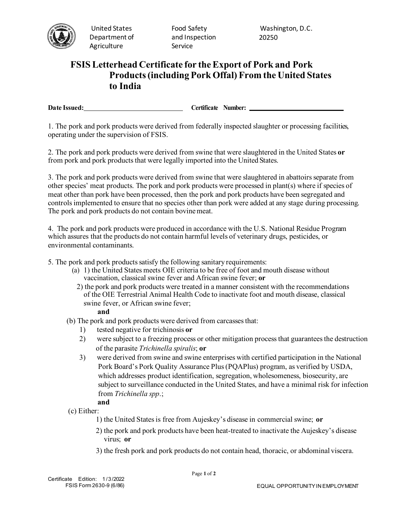

United States Department of Agriculture

Food Safety and Inspection Service

Washington, D.C. 20250

## **FSIS Letterhead Certificate for the Export of Pork and Pork Products(including Pork Offal) From the United States to India**

**Date Issued: Certificate Number: Certificate Number: Certificate Number: Certificate Number: Certificate Number: CERTIFICATE** 

1. The pork and pork products were derived from federally inspected slaughter or processing facilities, operating under the supervision of FSIS.

2. The pork and pork products were derived from swine that were slaughtered in the United States **or**  from pork and pork products that were legally imported into the United States.

3. The pork and pork products were derived from swine that were slaughtered in abattoirs separate from other species' meat products. The pork and pork products were processed in plant(s) where if species of meat other than pork have been processed, then the pork and pork products have been segregated and controls implemented to ensure that no species other than pork were added at any stage during processing. The pork and pork products do not contain bovine meat.

4. The pork and pork products were produced in accordance with the U.S. National Residue Program which assures that the products do not contain harmful levels of veterinary drugs, pesticides, or environmental contaminants.

5. The pork and pork products satisfy the following sanitary requirements:

- (a) 1) the United States meets OIE criteria to be free of foot and mouth disease without vaccination, classical swine fever and African swine fever; **or**
	- 2) the pork and pork products were treated in a manner consistent with the recommendations of the OIE Terrestrial Animal Health Code to inactivate foot and mouth disease, classical swine fever, or African swine fever;

## **and**

- (b) The pork and pork products were derived from carcasses that:
	- 1) tested negative for trichinosis **or**
	- 2) were subject to a freezing process or other mitigation process that guarantees the destruction of the parasite *Trichinella spiralis*; **or**
	- 3) were derived from swine and swine enterprises with certified participation in the National Pork Board's Pork Quality Assurance Plus (PQAPlus) program, as verified by USDA, which addresses product identification, segregation, wholesomeness, biosecurity, are subject to surveillance conducted in the United States, and have a minimal risk for infection from *Trichinella spp*.;

## **and**

- (c) Either:
	- 1) the United States is free from Aujeskey's disease in commercial swine; **or**
	- 2) the pork and pork products have been heat-treated to inactivate the Aujeskey's disease virus; **or**
	- 3) the fresh pork and pork products do not contain head, thoracic, or abdominal viscera.